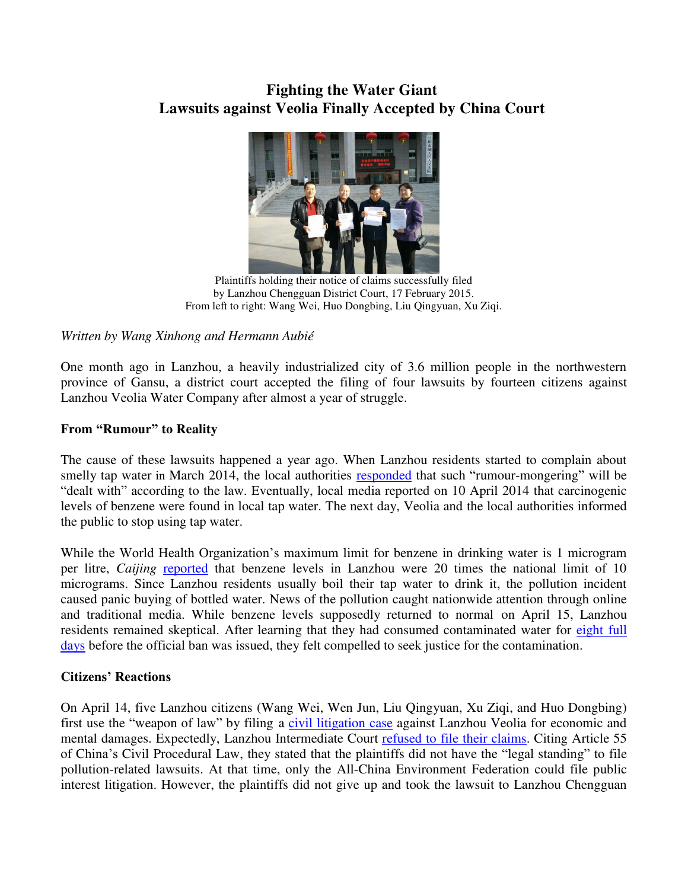# **Fighting the Water Giant Lawsuits against Veolia Finally Accepted by China Court**



Plaintiffs holding their notice of claims successfully filed by Lanzhou Chengguan District Court, 17 February 2015. From left to right: Wang Wei, Huo Dongbing, Liu Qingyuan, Xu Ziqi.

*Written by Wang Xinhong and Hermann Aubié* 

One month ago in Lanzhou, a heavily industrialized city of 3.6 million people in the northwestern province of Gansu, a district court accepted the filing of four lawsuits by fourteen citizens against Lanzhou Veolia Water Company after almost a year of struggle.

## **From "Rumour" to Reality**

The cause of these lawsuits happened a year ago. When Lanzhou residents started to complain about smelly tap water in March 2014, the local authorities [responded](http://politics.caijing.com.cn/2014-04-11/114091469.html) that such "rumour-mongering" will be "dealt with" according to the law. Eventually, local media reported on 10 April 2014 that carcinogenic levels of benzene were found in local tap water. The next day, Veolia and the local authorities informed the public to stop using tap water.

While the World Health Organization's maximum limit for benzene in drinking water is 1 microgram per litre, *Caijing* [reported](http://english.caijing.com.cn/2014-04-23/114123749.html) that benzene levels in Lanzhou were 20 times the national limit of 10 micrograms. Since Lanzhou residents usually boil their tap water to drink it, the pollution incident caused panic buying of bottled water. News of the pollution caught nationwide attention through online and traditional media. While benzene levels supposedly returned to normal on April 15, Lanzhou residents remained skeptical. After learning that they had consumed contaminated water for [eight full](http://news.xinhuanet.com/fortune/2014-04/15/c_126389875.htm)  [days](http://news.xinhuanet.com/fortune/2014-04/15/c_126389875.htm) before the official ban was issued, they felt compelled to seek justice for the contamination.

## **Citizens' Reactions**

On April 14, five Lanzhou citizens (Wang Wei, Wen Jun, Liu Qingyuan, Xu Ziqi, and Huo Dongbing) first use the "weapon of law" by filing a [civil litigation case](http://www.thepaper.cn/newsDetail_forward_1299978) against Lanzhou Veolia for economic and mental damages. Expectedly, Lanzhou Intermediate Court [refused to file](http://www.infzm.com/content/99892) their claims. Citing Article 55 of China's Civil Procedural Law, they stated that the plaintiffs did not have the "legal standing" to file pollution-related lawsuits. At that time, only the All-China Environment Federation could file public interest litigation. However, the plaintiffs did not give up and took the lawsuit to Lanzhou Chengguan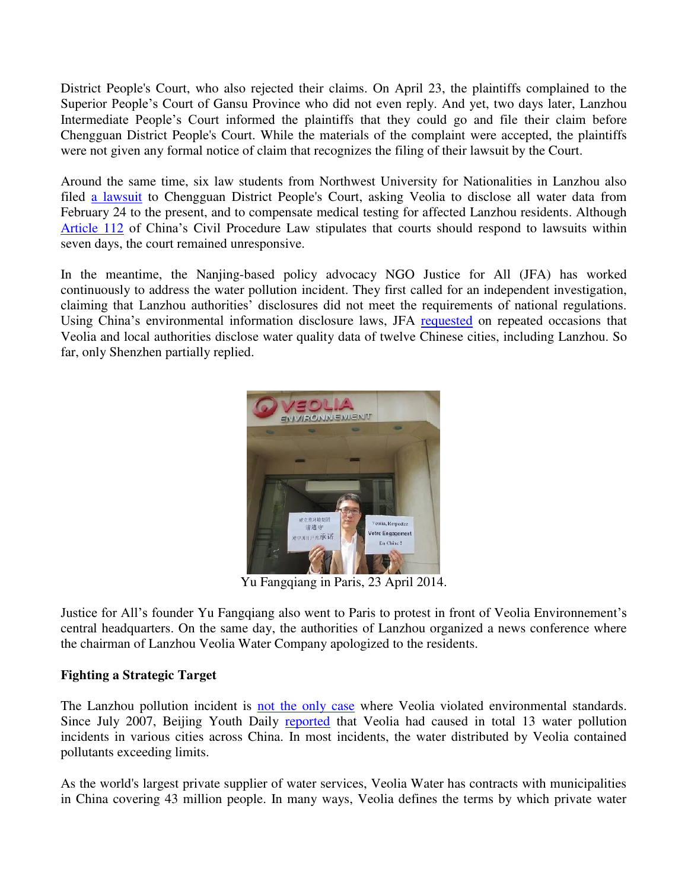District People's Court, who also rejected their claims. On April 23, the plaintiffs complained to the Superior People's Court of Gansu Province who did not even reply. And yet, two days later, Lanzhou Intermediate People's Court informed the plaintiffs that they could go and file their claim before Chengguan District People's Court. While the materials of the complaint were accepted, the plaintiffs were not given any formal notice of claim that recognizes the filing of their lawsuit by the Court.

Around the same time, six law students from Northwest University for Nationalities in Lanzhou also filed [a lawsuit](http://news.xinhuanet.com/legal/2014-04/17/c_1110290921.htm) to Chengguan District People's Court, asking Veolia to disclose all water data from February 24 to the present, and to compensate medical testing for affected Lanzhou residents. Although [Article 112](http://www.npc.gov.cn/englishnpc/Law/2007-12/12/content_1383880.htm) of China's Civil Procedure Law stipulates that courts should respond to lawsuits within seven days, the court remained unresponsive.

In the meantime, the Nanjing-based policy advocacy NGO Justice for All (JFA) has worked continuously to address the water pollution incident. They first called for an independent investigation, claiming that Lanzhou authorities' disclosures did not meet the requirements of national regulations. Using China's environmental information disclosure laws, JFA [requested](http://www.tianxiagong.org/show.asp?id=452) on repeated occasions that Veolia and local authorities disclose water quality data of twelve Chinese cities, including Lanzhou. So far, only Shenzhen partially replied.



Yu Fangqiang in Paris, 23 April 2014.

Justice for All's founder Yu Fangqiang also went to Paris to protest in front of Veolia Environnement's central headquarters. On the same day, the authorities of Lanzhou organized a news conference where the chairman of Lanzhou Veolia Water Company apologized to the residents.

## **Fighting a Strategic Target**

The Lanzhou pollution incident is [not the only case](http://www.tianxiagong.org/show.asp?id=452) where Veolia violated environmental standards. Since July 2007, Beijing Youth Daily [reported](http://finance.sina.com.cn/chanjing/gsnews/20140421/033918860155.shtml) that Veolia had caused in total 13 water pollution incidents in various cities across China. In most incidents, the water distributed by Veolia contained pollutants exceeding limits.

As the world's largest private supplier of water services, Veolia Water has contracts with municipalities in China covering 43 million people. In many ways, Veolia defines the terms by which private water